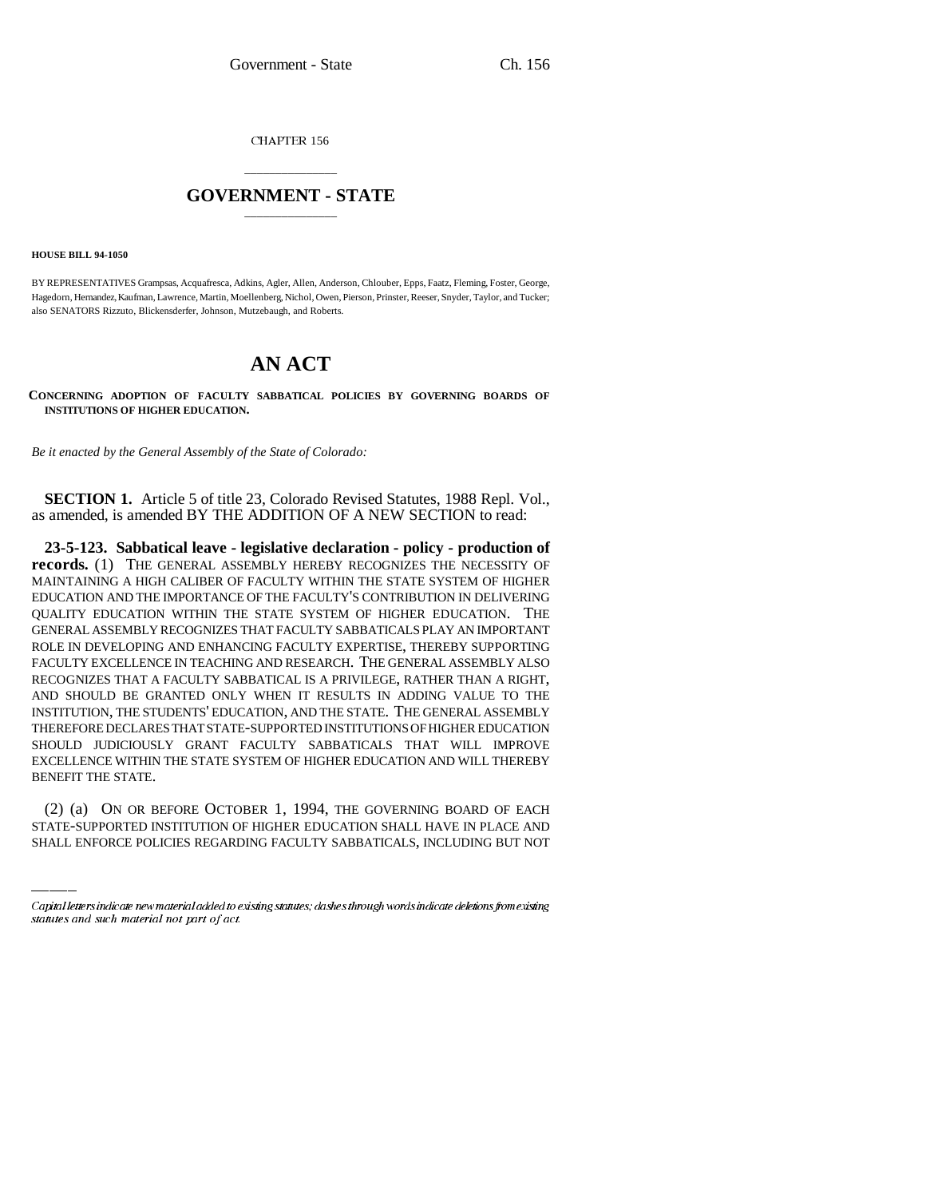CHAPTER 156

## \_\_\_\_\_\_\_\_\_\_\_\_\_\_\_ **GOVERNMENT - STATE** \_\_\_\_\_\_\_\_\_\_\_\_\_\_\_

**HOUSE BILL 94-1050**

BY REPRESENTATIVES Grampsas, Acquafresca, Adkins, Agler, Allen, Anderson, Chlouber, Epps, Faatz, Fleming, Foster, George, Hagedorn, Hernandez, Kaufman, Lawrence, Martin, Moellenberg, Nichol, Owen, Pierson, Prinster, Reeser, Snyder, Taylor, and Tucker; also SENATORS Rizzuto, Blickensderfer, Johnson, Mutzebaugh, and Roberts.

## **AN ACT**

**CONCERNING ADOPTION OF FACULTY SABBATICAL POLICIES BY GOVERNING BOARDS OF INSTITUTIONS OF HIGHER EDUCATION.**

*Be it enacted by the General Assembly of the State of Colorado:*

**SECTION 1.** Article 5 of title 23, Colorado Revised Statutes, 1988 Repl. Vol., as amended, is amended BY THE ADDITION OF A NEW SECTION to read:

BENEFIT THE STATE. **23-5-123. Sabbatical leave - legislative declaration - policy - production of records.** (1) THE GENERAL ASSEMBLY HEREBY RECOGNIZES THE NECESSITY OF MAINTAINING A HIGH CALIBER OF FACULTY WITHIN THE STATE SYSTEM OF HIGHER EDUCATION AND THE IMPORTANCE OF THE FACULTY'S CONTRIBUTION IN DELIVERING QUALITY EDUCATION WITHIN THE STATE SYSTEM OF HIGHER EDUCATION. THE GENERAL ASSEMBLY RECOGNIZES THAT FACULTY SABBATICALS PLAY AN IMPORTANT ROLE IN DEVELOPING AND ENHANCING FACULTY EXPERTISE, THEREBY SUPPORTING FACULTY EXCELLENCE IN TEACHING AND RESEARCH. THE GENERAL ASSEMBLY ALSO RECOGNIZES THAT A FACULTY SABBATICAL IS A PRIVILEGE, RATHER THAN A RIGHT, AND SHOULD BE GRANTED ONLY WHEN IT RESULTS IN ADDING VALUE TO THE INSTITUTION, THE STUDENTS' EDUCATION, AND THE STATE. THE GENERAL ASSEMBLY THEREFORE DECLARES THAT STATE-SUPPORTED INSTITUTIONS OF HIGHER EDUCATION SHOULD JUDICIOUSLY GRANT FACULTY SABBATICALS THAT WILL IMPROVE EXCELLENCE WITHIN THE STATE SYSTEM OF HIGHER EDUCATION AND WILL THEREBY

(2) (a) ON OR BEFORE OCTOBER 1, 1994, THE GOVERNING BOARD OF EACH STATE-SUPPORTED INSTITUTION OF HIGHER EDUCATION SHALL HAVE IN PLACE AND SHALL ENFORCE POLICIES REGARDING FACULTY SABBATICALS, INCLUDING BUT NOT

Capital letters indicate new material added to existing statutes; dashes through words indicate deletions from existing statutes and such material not part of act.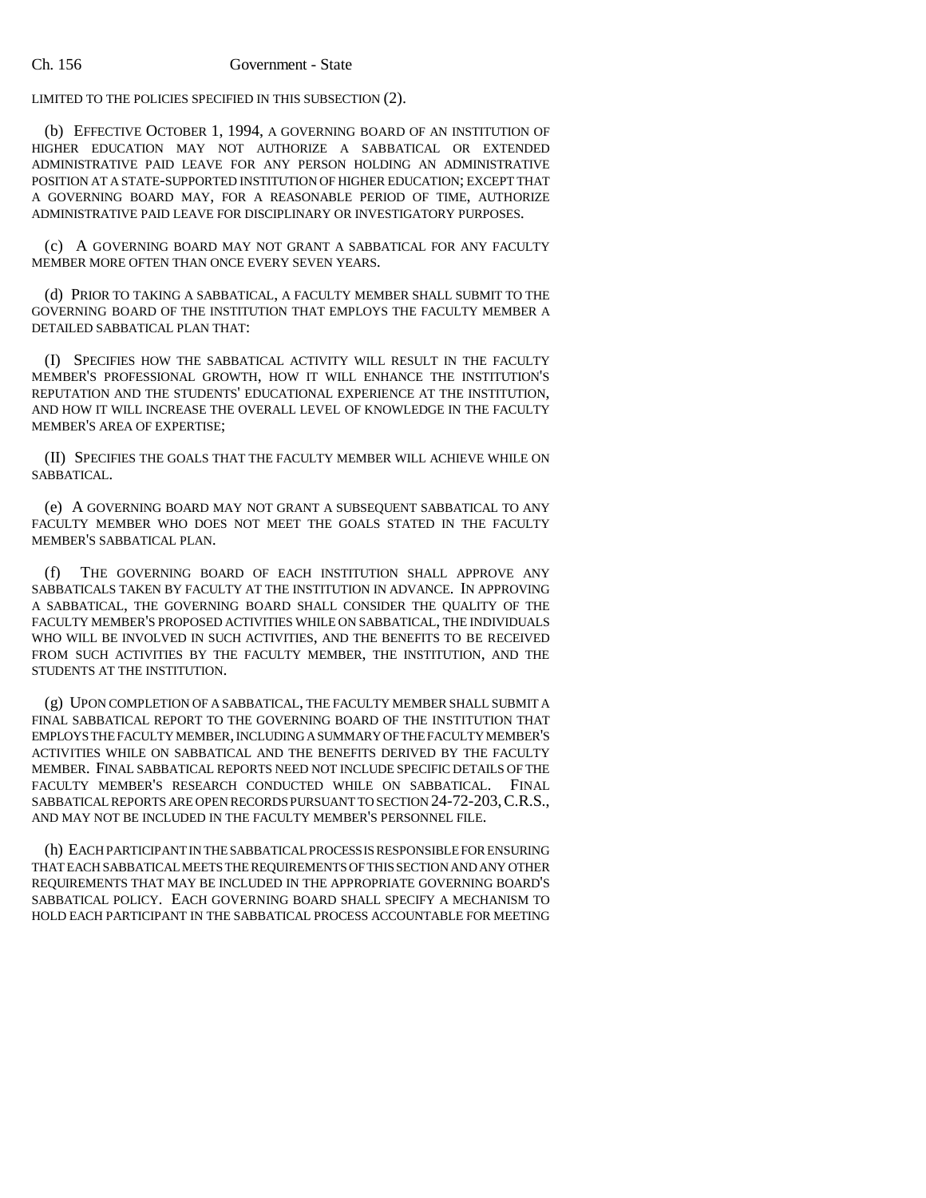## Ch. 156 Government - State

LIMITED TO THE POLICIES SPECIFIED IN THIS SUBSECTION (2).

(b) EFFECTIVE OCTOBER 1, 1994, A GOVERNING BOARD OF AN INSTITUTION OF HIGHER EDUCATION MAY NOT AUTHORIZE A SABBATICAL OR EXTENDED ADMINISTRATIVE PAID LEAVE FOR ANY PERSON HOLDING AN ADMINISTRATIVE POSITION AT A STATE-SUPPORTED INSTITUTION OF HIGHER EDUCATION; EXCEPT THAT A GOVERNING BOARD MAY, FOR A REASONABLE PERIOD OF TIME, AUTHORIZE ADMINISTRATIVE PAID LEAVE FOR DISCIPLINARY OR INVESTIGATORY PURPOSES.

(c) A GOVERNING BOARD MAY NOT GRANT A SABBATICAL FOR ANY FACULTY MEMBER MORE OFTEN THAN ONCE EVERY SEVEN YEARS.

(d) PRIOR TO TAKING A SABBATICAL, A FACULTY MEMBER SHALL SUBMIT TO THE GOVERNING BOARD OF THE INSTITUTION THAT EMPLOYS THE FACULTY MEMBER A DETAILED SABBATICAL PLAN THAT:

(I) SPECIFIES HOW THE SABBATICAL ACTIVITY WILL RESULT IN THE FACULTY MEMBER'S PROFESSIONAL GROWTH, HOW IT WILL ENHANCE THE INSTITUTION'S REPUTATION AND THE STUDENTS' EDUCATIONAL EXPERIENCE AT THE INSTITUTION, AND HOW IT WILL INCREASE THE OVERALL LEVEL OF KNOWLEDGE IN THE FACULTY MEMBER'S AREA OF EXPERTISE;

(II) SPECIFIES THE GOALS THAT THE FACULTY MEMBER WILL ACHIEVE WHILE ON SABBATICAL.

(e) A GOVERNING BOARD MAY NOT GRANT A SUBSEQUENT SABBATICAL TO ANY FACULTY MEMBER WHO DOES NOT MEET THE GOALS STATED IN THE FACULTY MEMBER'S SABBATICAL PLAN.

(f) THE GOVERNING BOARD OF EACH INSTITUTION SHALL APPROVE ANY SABBATICALS TAKEN BY FACULTY AT THE INSTITUTION IN ADVANCE. IN APPROVING A SABBATICAL, THE GOVERNING BOARD SHALL CONSIDER THE QUALITY OF THE FACULTY MEMBER'S PROPOSED ACTIVITIES WHILE ON SABBATICAL, THE INDIVIDUALS WHO WILL BE INVOLVED IN SUCH ACTIVITIES, AND THE BENEFITS TO BE RECEIVED FROM SUCH ACTIVITIES BY THE FACULTY MEMBER, THE INSTITUTION, AND THE STUDENTS AT THE INSTITUTION.

(g) UPON COMPLETION OF A SABBATICAL, THE FACULTY MEMBER SHALL SUBMIT A FINAL SABBATICAL REPORT TO THE GOVERNING BOARD OF THE INSTITUTION THAT EMPLOYS THE FACULTY MEMBER, INCLUDING A SUMMARY OF THE FACULTY MEMBER'S ACTIVITIES WHILE ON SABBATICAL AND THE BENEFITS DERIVED BY THE FACULTY MEMBER. FINAL SABBATICAL REPORTS NEED NOT INCLUDE SPECIFIC DETAILS OF THE FACULTY MEMBER'S RESEARCH CONDUCTED WHILE ON SABBATICAL. FINAL SABBATICAL REPORTS ARE OPEN RECORDS PURSUANT TO SECTION 24-72-203,C.R.S., AND MAY NOT BE INCLUDED IN THE FACULTY MEMBER'S PERSONNEL FILE.

(h) EACH PARTICIPANT IN THE SABBATICAL PROCESS IS RESPONSIBLE FOR ENSURING THAT EACH SABBATICAL MEETS THE REQUIREMENTS OF THIS SECTION AND ANY OTHER REQUIREMENTS THAT MAY BE INCLUDED IN THE APPROPRIATE GOVERNING BOARD'S SABBATICAL POLICY. EACH GOVERNING BOARD SHALL SPECIFY A MECHANISM TO HOLD EACH PARTICIPANT IN THE SABBATICAL PROCESS ACCOUNTABLE FOR MEETING